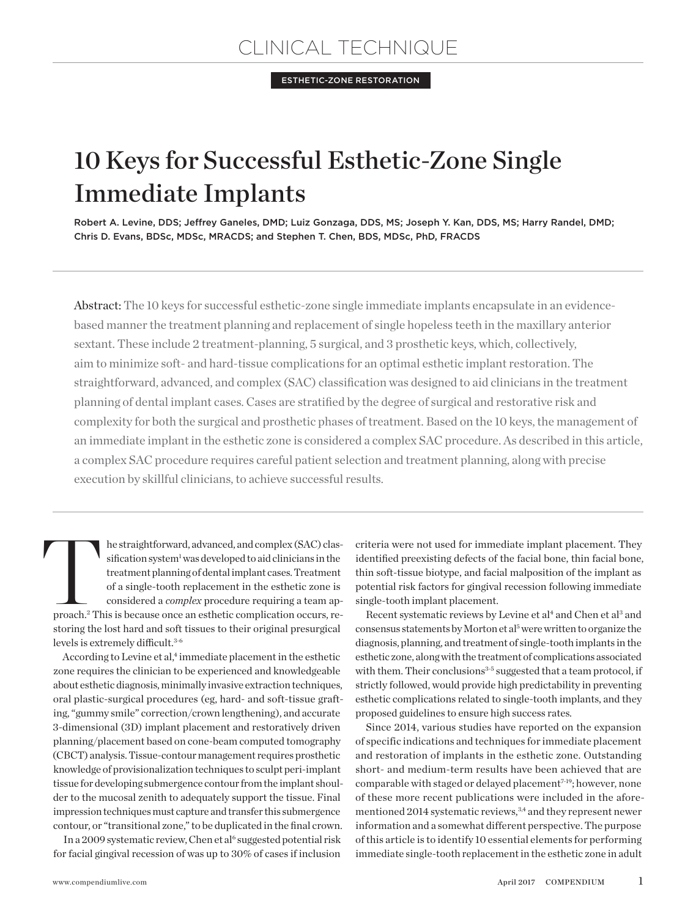Esthetic-Zone Restoration

# 10 Keys for Successful Esthetic-Zone Single Immediate Implants

Robert A. Levine, DDS; Jeffrey Ganeles, DMD; Luiz Gonzaga, DDS, MS; Joseph Y. Kan, DDS, MS; Harry Randel, DMD; Chris D. Evans, BDSc, MDSc, MRACDS; and Stephen T. Chen, BDS, MDSc, PhD, FRACDS

Abstract: The 10 keys for successful esthetic-zone single immediate implants encapsulate in an evidencebased manner the treatment planning and replacement of single hopeless teeth in the maxillary anterior sextant. These include 2 treatment-planning, 5 surgical, and 3 prosthetic keys, which, collectively, aim to minimize soft- and hard-tissue complications for an optimal esthetic implant restoration. The straightforward, advanced, and complex (SAC) classification was designed to aid clinicians in the treatment planning of dental implant cases. Cases are stratified by the degree of surgical and restorative risk and complexity for both the surgical and prosthetic phases of treatment. Based on the 10 keys, the management of an immediate implant in the esthetic zone is considered a complex SAC procedure. As described in this article, a complex SAC procedure requires careful patient selection and treatment planning, along with precise execution by skillful clinicians, to achieve successful results.

The straightforward, advanced, and complex (SAC) classification system<sup>1</sup> was developed to aid clinicians in the treatment planning of dental implant cases. Treatment of a single-tooth replacement in the esthetic zone is c sification system<sup>1</sup> was developed to aid clinicians in the treatment planning of dental implant cases. Treatment of a single-tooth replacement in the esthetic zone is considered a *complex* procedure requiring a team apstoring the lost hard and soft tissues to their original presurgical levels is extremely difficult.3-6

According to Levine et al,<sup>4</sup> immediate placement in the esthetic zone requires the clinician to be experienced and knowledgeable about esthetic diagnosis, minimally invasive extraction techniques, oral plastic-surgical procedures (eg, hard- and soft-tissue grafting, "gummy smile" correction/crown lengthening), and accurate 3-dimensional (3D) implant placement and restoratively driven planning/placement based on cone-beam computed tomography (CBCT) analysis. Tissue-contour management requires prosthetic knowledge of provisionalization techniques to sculpt peri-implant tissue for developing submergence contour from the implant shoulder to the mucosal zenith to adequately support the tissue. Final impression techniques must capture and transfer this submergence contour, or "transitional zone," to be duplicated in the final crown.

In a 2009 systematic review, Chen et al<sup>6</sup> suggested potential risk for facial gingival recession of was up to 30% of cases if inclusion

criteria were not used for immediate implant placement. They identified preexisting defects of the facial bone, thin facial bone, thin soft-tissue biotype, and facial malposition of the implant as potential risk factors for gingival recession following immediate single-tooth implant placement.

Recent systematic reviews by Levine et al<sup>4</sup> and Chen et al<sup>3</sup> and consensus statements by Morton et al<sup>5</sup> were written to organize the diagnosis, planning, and treatment of single-tooth implants in the esthetic zone, along with the treatment of complications associated with them. Their conclusions $3-5$  suggested that a team protocol, if strictly followed, would provide high predictability in preventing esthetic complications related to single-tooth implants, and they proposed guidelines to ensure high success rates.

Since 2014, various studies have reported on the expansion of specific indications and techniques for immediate placement and restoration of implants in the esthetic zone. Outstanding short- and medium-term results have been achieved that are comparable with staged or delayed placement<sup>7-19</sup>; however, none of these more recent publications were included in the aforementioned 2014 systematic reviews,<sup>3,4</sup> and they represent newer information and a somewhat different perspective. The purpose of this article is to identify 10 essential elements for performing immediate single-tooth replacement in the esthetic zone in adult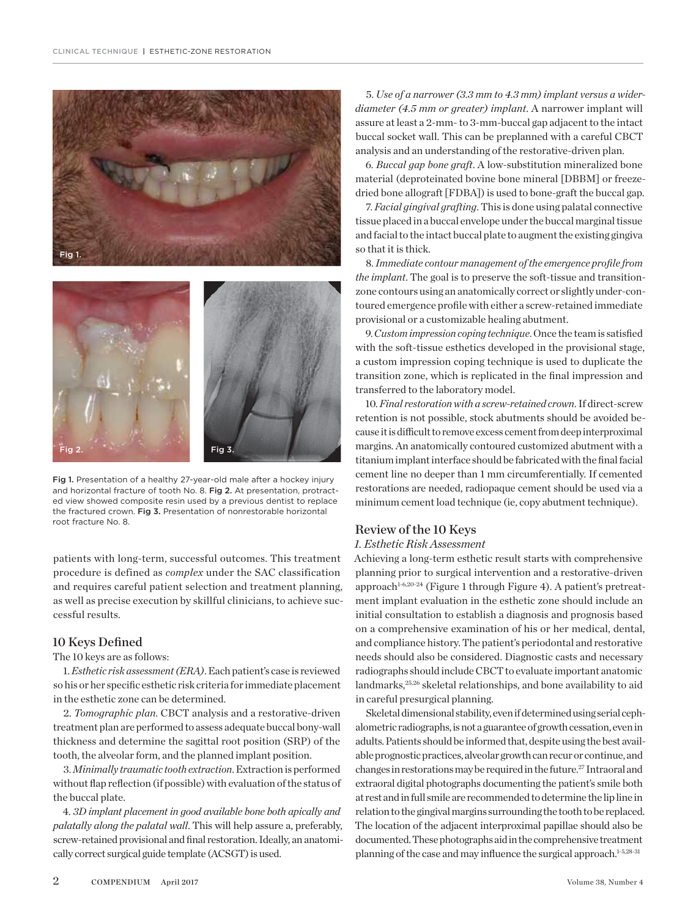



Fig 1. Presentation of a healthy 27-year-old male after a hockey injury and horizontal fracture of tooth No. 8. Fig 2. At presentation, protracted view showed composite resin used by a previous dentist to replace the fractured crown. Fig 3. Presentation of nonrestorable horizontal root fracture No. 8.

patients with long-term, successful outcomes. This treatment procedure is defined as *complex* under the SAC classification and requires careful patient selection and treatment planning, as well as precise execution by skillful clinicians, to achieve successful results.

## 10 Keys Defined

The 10 keys are as follows:

1. *Esthetic risk assessment (ERA)*. Each patient's case is reviewed so his or her specific esthetic risk criteria for immediate placement in the esthetic zone can be determined.

2. *Tomographic plan*. CBCT analysis and a restorative-driven treatment plan are performed to assess adequate buccal bony-wall thickness and determine the sagittal root position (SRP) of the tooth, the alveolar form, and the planned implant position.

3. *Minimally traumatic tooth extraction*. Extraction is performed without flap reflection (if possible) with evaluation of the status of the buccal plate.

4. *3D implant placement in good available bone both apically and palatally along the palatal wall*. This will help assure a, preferably, screw-retained provisional and final restoration. Ideally, an anatomically correct surgical guide template (ACSGT) is used.

5. *Use of a narrower (3.3 mm to 4.3 mm) implant versus a widerdiameter (4.5 mm or greater) implant*. A narrower implant will assure at least a 2-mm- to 3-mm-buccal gap adjacent to the intact buccal socket wall. This can be preplanned with a careful CBCT analysis and an understanding of the restorative-driven plan.

6. *Buccal gap bone graft*. A low-substitution mineralized bone material (deproteinated bovine bone mineral [DBBM] or freezedried bone allograft [FDBA]) is used to bone-graft the buccal gap.

7. *Facial gingival grafting*. This is done using palatal connective tissue placed in a buccal envelope under the buccal marginal tissue and facial to the intact buccal plate to augment the existing gingiva so that it is thick.

8. *Immediate contour management of the emergence profile from the implant*. The goal is to preserve the soft-tissue and transitionzone contours using an anatomically correct or slightly under-contoured emergence profile with either a screw-retained immediate provisional or a customizable healing abutment.

9. *Custom impression coping technique*. Once the team is satisfied with the soft-tissue esthetics developed in the provisional stage, a custom impression coping technique is used to duplicate the transition zone, which is replicated in the final impression and transferred to the laboratory model.

10. *Final restoration with a screw-retained crown*. If direct-screw retention is not possible, stock abutments should be avoided because it is difficult to remove excess cement from deep interproximal margins. An anatomically contoured customized abutment with a titanium implant interface should be fabricated with the final facial cement line no deeper than 1 mm circumferentially. If cemented restorations are needed, radiopaque cement should be used via a minimum cement load technique (ie, copy abutment technique).

## Review of the 10 Keys

#### *1. Esthetic Risk Assessment*

Achieving a long-term esthetic result starts with comprehensive planning prior to surgical intervention and a restorative-driven approach<sup>1-6,20-24</sup> (Figure 1 through Figure 4). A patient's pretreatment implant evaluation in the esthetic zone should include an initial consultation to establish a diagnosis and prognosis based on a comprehensive examination of his or her medical, dental, and compliance history. The patient's periodontal and restorative needs should also be considered. Diagnostic casts and necessary radiographs should include CBCT to evaluate important anatomic landmarks,<sup>25,26</sup> skeletal relationships, and bone availability to aid in careful presurgical planning.

Skeletal dimensional stability, even if determined using serial cephalometric radiographs, is not a guarantee of growth cessation, even in adults. Patients should be informed that, despite using the best available prognostic practices, alveolar growth can recur or continue, and changes in restorations may be required in the future.27 Intraoral and extraoral digital photographs documenting the patient's smile both at rest and in full smile are recommended to determine the lip line in relation to the gingival margins surrounding the tooth to be replaced. The location of the adjacent interproximal papillae should also be documented. These photographs aid in the comprehensive treatment planning of the case and may influence the surgical approach.<sup>1-5,28-31</sup>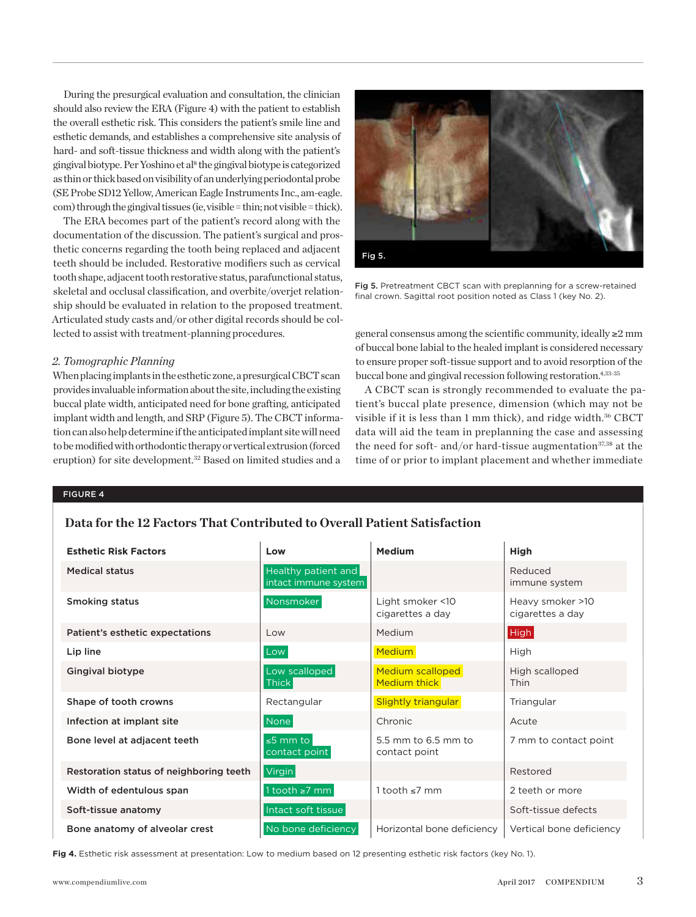During the presurgical evaluation and consultation, the clinician should also review the ERA (Figure 4) with the patient to establish the overall esthetic risk. This considers the patient's smile line and esthetic demands, and establishes a comprehensive site analysis of hard- and soft-tissue thickness and width along with the patient's gingival biotype. Per Yoshino et al<sup>8</sup> the gingival biotype is categorized as thin or thick based on visibility of an underlying periodontal probe (SE Probe SD12 Yellow, American Eagle Instruments Inc., am-eagle. com) through the gingival tissues (ie, visible = thin; not visible = thick).

The ERA becomes part of the patient's record along with the documentation of the discussion. The patient's surgical and prosthetic concerns regarding the tooth being replaced and adjacent teeth should be included. Restorative modifiers such as cervical tooth shape, adjacent tooth restorative status, parafunctional status, skeletal and occlusal classification, and overbite/overjet relationship should be evaluated in relation to the proposed treatment. Articulated study casts and/or other digital records should be collected to assist with treatment-planning procedures.

## *2. Tomographic Planning*

When placing implants in the esthetic zone, a presurgical CBCT scan provides invaluable information about the site, including the existing buccal plate width, anticipated need for bone grafting, anticipated implant width and length, and SRP (Figure 5). The CBCT information can also help determine if the anticipated implant site will need to be modified with orthodontic therapy or vertical extrusion (forced eruption) for site development.<sup>32</sup> Based on limited studies and a



Fig 5. Pretreatment CBCT scan with preplanning for a screw-retained final crown. Sagittal root position noted as Class 1 (key No. 2).

general consensus among the scientific community, ideally ≥2 mm of buccal bone labial to the healed implant is considered necessary to ensure proper soft-tissue support and to avoid resorption of the buccal bone and gingival recession following restoration.<sup>4,33-35</sup>

A CBCT scan is strongly recommended to evaluate the patient's buccal plate presence, dimension (which may not be visible if it is less than 1 mm thick), and ridge width.<sup>36</sup> CBCT data will aid the team in preplanning the case and assessing the need for soft- and/or hard-tissue augmentation $37,38$  at the time of or prior to implant placement and whether immediate

#### Figure 4

# **Data for the 12 Factors That Contributed to Overall Patient Satisfaction**

| <b>Esthetic Risk Factors</b>            | Low                                         | <b>Medium</b>                           | High                                 |
|-----------------------------------------|---------------------------------------------|-----------------------------------------|--------------------------------------|
| Medical status                          | Healthy patient and<br>intact immune system |                                         | Reduced<br>immune system             |
| Smoking status                          | Nonsmoker                                   | Light smoker <10<br>cigarettes a day    | Heavy smoker >10<br>cigarettes a day |
| Patient's esthetic expectations         | Low                                         | Medium                                  | High                                 |
| Lip line                                | Low                                         | <b>Medium</b>                           | High                                 |
| <b>Gingival biotype</b>                 | Low scalloped<br>Thick                      | Medium scalloped<br><b>Medium thick</b> | High scalloped<br><b>Thin</b>        |
| Shape of tooth crowns                   | Rectangular                                 | <b>Slightly triangular</b>              | Triangular                           |
| Infection at implant site               | None                                        | Chronic                                 | Acute                                |
| Bone level at adjacent teeth            | $\leq$ 5 mm to<br>contact point             | 5.5 mm to 6.5 mm to<br>contact point    | 7 mm to contact point                |
| Restoration status of neighboring teeth | Virgin                                      |                                         | Restored                             |
| Width of edentulous span                | 1 tooth $\geq$ 7 mm                         | 1 tooth $\leq 7$ mm                     | 2 teeth or more                      |
| Soft-tissue anatomy                     | Intact soft tissue                          |                                         | Soft-tissue defects                  |
| Bone anatomy of alveolar crest          | No bone deficiency                          | Horizontal bone deficiency              | Vertical bone deficiency             |

**Fig 4.** Esthetic risk assessment at presentation: Low to medium based on 12 presenting esthetic risk factors (key No. 1).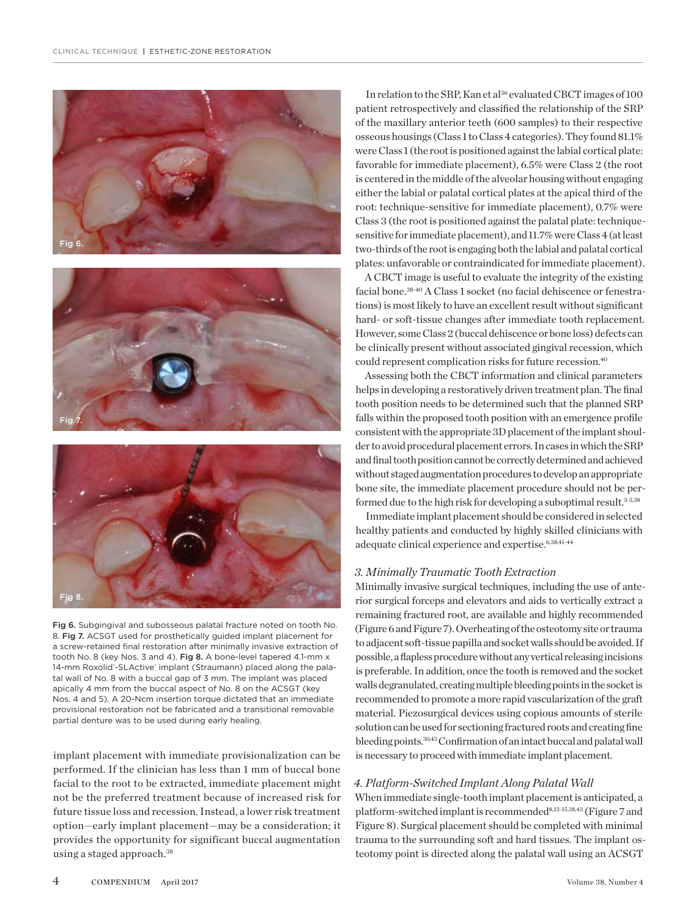





Fig 6. Subgingival and subosseous palatal fracture noted on tooth No. 8. Fig 7. ACSGT used for prosthetically guided implant placement for a screw-retained final restoration after minimally invasive extraction of tooth No. 8 (key Nos. 3 and 4). Fig 8. A bone-level tapered 4.1-mm x 14-mm Roxolid'-SLActive' implant (Straumann) placed along the palatal wall of No. 8 with a buccal gap of 3 mm. The implant was placed apically 4 mm from the buccal aspect of No. 8 on the ACSGT (key Nos. 4 and 5). A 20-Ncm insertion torque dictated that an immediate provisional restoration not be fabricated and a transitional removable partial denture was to be used during early healing.

implant placement with immediate provisionalization can be performed. If the clinician has less than 1 mm of buccal bone facial to the root to be extracted, immediate placement might not be the preferred treatment because of increased risk for future tissue loss and recession. Instead, a lower risk treatment option—early implant placement—may be a consideration; it provides the opportunity for significant buccal augmentation using a staged approach.<sup>38</sup>

In relation to the SRP, Kan et al<sup>36</sup> evaluated CBCT images of 100 patient retrospectively and classified the relationship of the SRP of the maxillary anterior teeth (600 samples) to their respective osseous housings (Class 1 to Class 4 categories). They found 81.1% were Class 1 (the root is positioned against the labial cortical plate: favorable for immediate placement), 6.5% were Class 2 (the root is centered in the middle of the alveolar housing without engaging either the labial or palatal cortical plates at the apical third of the root: technique-sensitive for immediate placement), 0.7% were Class 3 (the root is positioned against the palatal plate: techniquesensitive for immediate placement), and 11.7% were Class 4 (at least two-thirds of the root is engaging both the labial and palatal cortical plates: unfavorable or contraindicated for immediate placement).

A CBCT image is useful to evaluate the integrity of the existing facial bone.38-40 A Class 1 socket (no facial dehiscence or fenestrations) is most likely to have an excellent result without significant hard- or soft-tissue changes after immediate tooth replacement. However, some Class 2 (buccal dehiscence or bone loss) defects can be clinically present without associated gingival recession, which could represent complication risks for future recession.40

Assessing both the CBCT information and clinical parameters helps in developing a restoratively driven treatment plan. The final tooth position needs to be determined such that the planned SRP falls within the proposed tooth position with an emergence profile consistent with the appropriate 3D placement of the implant shoulder to avoid procedural placement errors. In cases in which the SRP and final tooth position cannot be correctly determined and achieved without staged augmentation procedures to develop an appropriate bone site, the immediate placement procedure should not be performed due to the high risk for developing a suboptimal result.<sup>3-5,38</sup>

Immediate implant placement should be considered in selected healthy patients and conducted by highly skilled clinicians with adequate clinical experience and expertise.<sup>6,38,41-44</sup>

## *3. Minimally Traumatic Tooth Extraction*

Minimally invasive surgical techniques, including the use of anterior surgical forceps and elevators and aids to vertically extract a remaining fractured root, are available and highly recommended (Figure 6 and Figure 7). Overheating of the osteotomy site or trauma to adjacent soft-tissue papilla and socket walls should be avoided. If possible, a flapless procedure without any vertical releasing incisions is preferable. In addition, once the tooth is removed and the socket walls degranulated, creating multiple bleeding points in the socket is recommended to promote a more rapid vascularization of the graft material. Piezosurgical devices using copious amounts of sterile solution can be used for sectioning fractured roots and creating fine bleeding points.30,43 Confirmation of an intact buccal and palatal wall is necessary to proceed with immediate implant placement.

## *4. Platform-Switched Implant Along Palatal Wall*

When immediate single-tooth implant placement is anticipated, a platform-switched implant is recommended<sup>8,13-15,38,43</sup> (Figure 7 and Figure 8). Surgical placement should be completed with minimal trauma to the surrounding soft and hard tissues. The implant osteotomy point is directed along the palatal wall using an ACSGT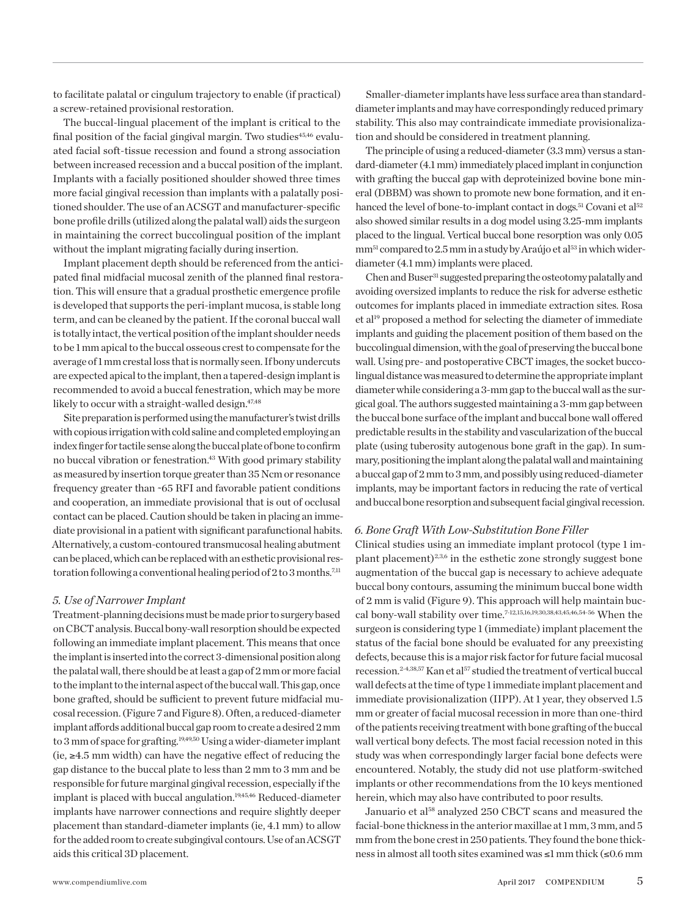to facilitate palatal or cingulum trajectory to enable (if practical) a screw-retained provisional restoration.

The buccal-lingual placement of the implant is critical to the final position of the facial gingival margin. Two studies<sup>45,46</sup> evaluated facial soft-tissue recession and found a strong association between increased recession and a buccal position of the implant. Implants with a facially positioned shoulder showed three times more facial gingival recession than implants with a palatally positioned shoulder. The use of an ACSGT and manufacturer-specific bone profile drills (utilized along the palatal wall) aids the surgeon in maintaining the correct buccolingual position of the implant without the implant migrating facially during insertion.

Implant placement depth should be referenced from the anticipated final midfacial mucosal zenith of the planned final restoration. This will ensure that a gradual prosthetic emergence profile is developed that supports the peri-implant mucosa, is stable long term, and can be cleaned by the patient. If the coronal buccal wall is totally intact, the vertical position of the implant shoulder needs to be 1 mm apical to the buccal osseous crest to compensate for the average of 1 mm crestal loss that is normally seen. If bony undercuts are expected apical to the implant, then a tapered-design implant is recommended to avoid a buccal fenestration, which may be more likely to occur with a straight-walled design.<sup>47,48</sup>

Site preparation is performed using the manufacturer's twist drills with copious irrigation with cold saline and completed employing an index finger for tactile sense along the buccal plate of bone to confirm no buccal vibration or fenestration.<sup>43</sup> With good primary stability as measured by insertion torque greater than 35 Ncm or resonance frequency greater than ~65 RFI and favorable patient conditions and cooperation, an immediate provisional that is out of occlusal contact can be placed. Caution should be taken in placing an immediate provisional in a patient with significant parafunctional habits. Alternatively, a custom-contoured transmucosal healing abutment can be placed, which can be replaced with an esthetic provisional restoration following a conventional healing period of  $2$  to  $3$  months.<sup>7,11</sup>

## *5. Use of Narrower Implant*

Treatment-planning decisions must be made prior to surgery based on CBCT analysis. Buccal bony-wall resorption should be expected following an immediate implant placement. This means that once the implant is inserted into the correct 3-dimensional position along the palatal wall, there should be at least a gap of 2 mm or more facial to the implant to the internal aspect of the buccal wall. This gap, once bone grafted, should be sufficient to prevent future midfacial mucosal recession. (Figure 7 and Figure 8). Often, a reduced-diameter implant affords additional buccal gap room to create a desired 2 mm to 3 mm of space for grafting.<sup>19,49,50</sup> Using a wider-diameter implant (ie, ≥4.5 mm width) can have the negative effect of reducing the gap distance to the buccal plate to less than 2 mm to 3 mm and be responsible for future marginal gingival recession, especially if the implant is placed with buccal angulation.<sup>19,45,46</sup> Reduced-diameter implants have narrower connections and require slightly deeper placement than standard-diameter implants (ie, 4.1 mm) to allow for the added room to create subgingival contours. Use of an ACSGT aids this critical 3D placement.

Smaller-diameter implants have less surface area than standarddiameter implants and may have correspondingly reduced primary stability. This also may contraindicate immediate provisionalization and should be considered in treatment planning.

The principle of using a reduced-diameter (3.3 mm) versus a standard-diameter (4.1 mm) immediately placed implant in conjunction with grafting the buccal gap with deproteinized bovine bone mineral (DBBM) was shown to promote new bone formation, and it enhanced the level of bone-to-implant contact in dogs.<sup>51</sup> Covani et al<sup>52</sup> also showed similar results in a dog model using 3.25-mm implants placed to the lingual. Vertical buccal bone resorption was only 0.05 mm<sup>51</sup> compared to 2.5 mm in a study by Araújo et al<sup>53</sup> in which widerdiameter (4.1 mm) implants were placed.

Chen and Buser<sup>31</sup> suggested preparing the osteotomy palatally and avoiding oversized implants to reduce the risk for adverse esthetic outcomes for implants placed in immediate extraction sites. Rosa et al19 proposed a method for selecting the diameter of immediate implants and guiding the placement position of them based on the buccolingual dimension, with the goal of preserving the buccal bone wall. Using pre- and postoperative CBCT images, the socket buccolingual distance was measured to determine the appropriate implant diameter while considering a 3-mm gap to the buccal wall as the surgical goal. The authors suggested maintaining a 3-mm gap between the buccal bone surface of the implant and buccal bone wall offered predictable results in the stability and vascularization of the buccal plate (using tuberosity autogenous bone graft in the gap). In summary, positioning the implant along the palatal wall and maintaining a buccal gap of 2 mm to 3 mm, and possibly using reduced-diameter implants, may be important factors in reducing the rate of vertical and buccal bone resorption and subsequent facial gingival recession.

## *6. Bone Graft With Low-Substitution Bone Filler*

Clinical studies using an immediate implant protocol (type 1 implant placement)<sup>2,3,6</sup> in the esthetic zone strongly suggest bone augmentation of the buccal gap is necessary to achieve adequate buccal bony contours, assuming the minimum buccal bone width of 2 mm is valid (Figure 9). This approach will help maintain buccal bony-wall stability over time.7-12,15,16,19,30,38,43,45,46,54-56 When the surgeon is considering type 1 (immediate) implant placement the status of the facial bone should be evaluated for any preexisting defects, because this is a major risk factor for future facial mucosal recession.<sup>2-4,38,57</sup> Kan et al<sup>57</sup> studied the treatment of vertical buccal wall defects at the time of type 1 immediate implant placement and immediate provisionalization (IIPP). At 1 year, they observed 1.5 mm or greater of facial mucosal recession in more than one-third of the patients receiving treatment with bone grafting of the buccal wall vertical bony defects. The most facial recession noted in this study was when correspondingly larger facial bone defects were encountered. Notably, the study did not use platform-switched implants or other recommendations from the 10 keys mentioned herein, which may also have contributed to poor results.

Januario et al<sup>58</sup> analyzed 250 CBCT scans and measured the facial-bone thickness in the anterior maxillae at 1 mm, 3 mm, and 5 mm from the bone crest in 250 patients. They found the bone thickness in almost all tooth sites examined was ≤1 mm thick (≤0.6 mm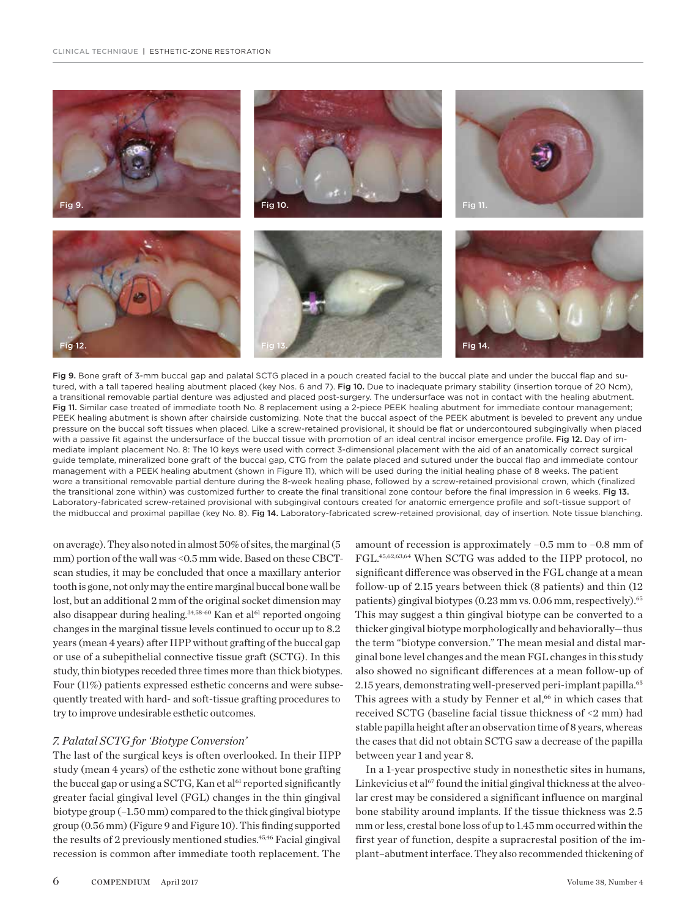



on average). They also noted in almost 50% of sites, the marginal (5 mm) portion of the wall was <0.5 mm wide. Based on these CBCTscan studies, it may be concluded that once a maxillary anterior tooth is gone, not only may the entire marginal buccal bone wall be lost, but an additional 2 mm of the original socket dimension may also disappear during healing.<sup>34,58-60</sup> Kan et al<sup>61</sup> reported ongoing changes in the marginal tissue levels continued to occur up to 8.2 years (mean 4 years) after IIPP without grafting of the buccal gap or use of a subepithelial connective tissue graft (SCTG). In this study, thin biotypes receded three times more than thick biotypes. Four (11%) patients expressed esthetic concerns and were subsequently treated with hard- and soft-tissue grafting procedures to try to improve undesirable esthetic outcomes.

## *7. Palatal SCTG for 'Biotype Conversion'*

The last of the surgical keys is often overlooked. In their IIPP study (mean 4 years) of the esthetic zone without bone grafting the buccal gap or using a SCTG, Kan et al<sup>61</sup> reported significantly greater facial gingival level (FGL) changes in the thin gingival biotype group (–1.50 mm) compared to the thick gingival biotype group (0.56 mm)(Figure 9 and Figure 10). This finding supported the results of 2 previously mentioned studies.<sup>45,46</sup> Facial gingival recession is common after immediate tooth replacement. The

amount of recession is approximately –0.5 mm to –0.8 mm of FGL.45,62,63,64 When SCTG was added to the IIPP protocol, no significant difference was observed in the FGL change at a mean follow-up of 2.15 years between thick (8 patients) and thin (12 patients) gingival biotypes (0.23 mm vs. 0.06 mm, respectively).<sup>65</sup> This may suggest a thin gingival biotype can be converted to a thicker gingival biotype morphologically and behaviorally—thus the term "biotype conversion." The mean mesial and distal marginal bone level changes and the mean FGL changes in this study also showed no significant differences at a mean follow-up of 2.15 years, demonstrating well-preserved peri-implant papilla.<sup>65</sup> This agrees with a study by Fenner et al, $66$  in which cases that received SCTG (baseline facial tissue thickness of <2 mm) had stable papilla height after an observation time of 8 years, whereas the cases that did not obtain SCTG saw a decrease of the papilla between year 1 and year 8.

In a 1-year prospective study in nonesthetic sites in humans, Linkevicius et al<sup>67</sup> found the initial gingival thickness at the alveolar crest may be considered a significant influence on marginal bone stability around implants. If the tissue thickness was 2.5 mm or less, crestal bone loss of up to 1.45 mm occurred within the first year of function, despite a supracrestal position of the implant–abutment interface. They also recommended thickening of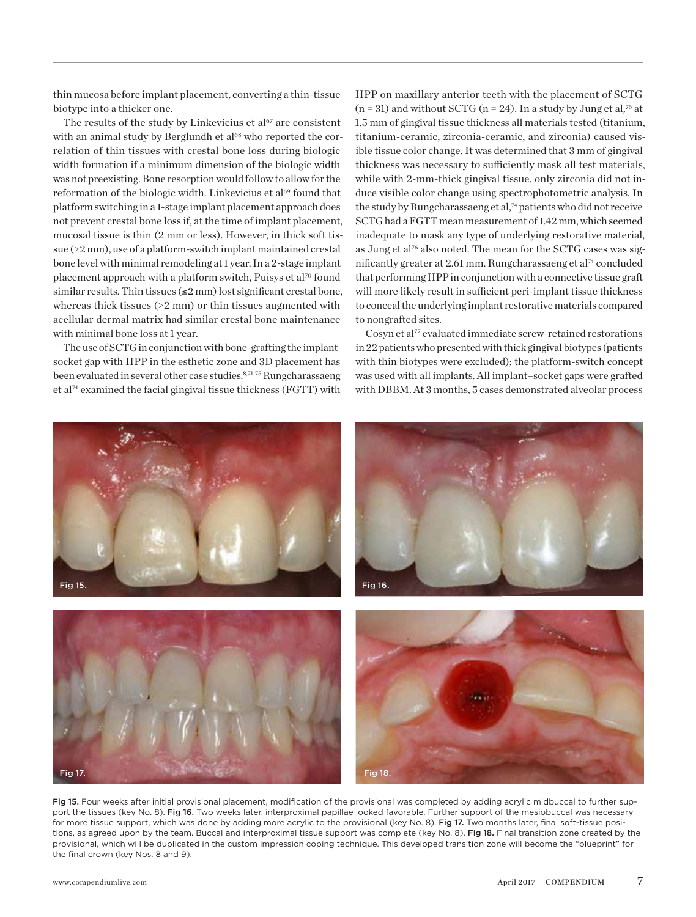thin mucosa before implant placement, converting a thin-tissue biotype into a thicker one.

The results of the study by Linkevicius et  $al^{67}$  are consistent with an animal study by Berglundh et al<sup>68</sup> who reported the correlation of thin tissues with crestal bone loss during biologic width formation if a minimum dimension of the biologic width was not preexisting. Bone resorption would follow to allow for the reformation of the biologic width. Linkevicius et al<sup>69</sup> found that platform switching in a 1-stage implant placement approach does not prevent crestal bone loss if, at the time of implant placement, mucosal tissue is thin (2 mm or less). However, in thick soft tissue (>2 mm), use of a platform-switch implant maintained crestal bone level with minimal remodeling at 1 year. In a 2-stage implant placement approach with a platform switch, Puisys et al<sup>70</sup> found similar results. Thin tissues  $(\leq 2 \text{ mm})$  lost significant crestal bone, whereas thick tissues (>2 mm) or thin tissues augmented with acellular dermal matrix had similar crestal bone maintenance with minimal bone loss at 1 year.

The use of SCTG in conjunction with bone-grafting the implant– socket gap with IIPP in the esthetic zone and 3D placement has been evaluated in several other case studies.<sup>8,71-75</sup> Rungcharassaeng et al74 examined the facial gingival tissue thickness (FGTT) with

IIPP on maxillary anterior teeth with the placement of SCTG  $(n = 31)$  and without SCTG  $(n = 24)$ . In a study by Jung et al,<sup>76</sup> at 1.5 mm of gingival tissue thickness all materials tested (titanium, titanium-ceramic, zirconia-ceramic, and zirconia) caused visible tissue color change. It was determined that 3 mm of gingival thickness was necessary to sufficiently mask all test materials, while with 2-mm-thick gingival tissue, only zirconia did not induce visible color change using spectrophotometric analysis. In the study by Rungcharassaeng et al,<sup>74</sup> patients who did not receive SCTG had a FGTT mean measurement of 1.42 mm, which seemed inadequate to mask any type of underlying restorative material, as Jung et al<sup>76</sup> also noted. The mean for the SCTG cases was significantly greater at 2.61 mm. Rungcharassaeng et al<sup>74</sup> concluded that performing IIPP in conjunction with a connective tissue graft will more likely result in sufficient peri-implant tissue thickness to conceal the underlying implant restorative materials compared to nongrafted sites.

Cosyn et al<sup>77</sup> evaluated immediate screw-retained restorations in 22 patients who presented with thick gingival biotypes (patients with thin biotypes were excluded); the platform-switch concept was used with all implants. All implant–socket gaps were grafted with DBBM. At 3 months, 5 cases demonstrated alveolar process



Fig 15. Four weeks after initial provisional placement, modification of the provisional was completed by adding acrylic midbuccal to further support the tissues (key No. 8). Fig 16. Two weeks later, interproximal papillae looked favorable. Further support of the mesiobuccal was necessary for more tissue support, which was done by adding more acrylic to the provisional (key No. 8). Fig 17. Two months later, final soft-tissue positions, as agreed upon by the team. Buccal and interproximal tissue support was complete (key No. 8). Fig 18. Final transition zone created by the provisional, which will be duplicated in the custom impression coping technique. This developed transition zone will become the "blueprint" for the final crown (key Nos. 8 and 9).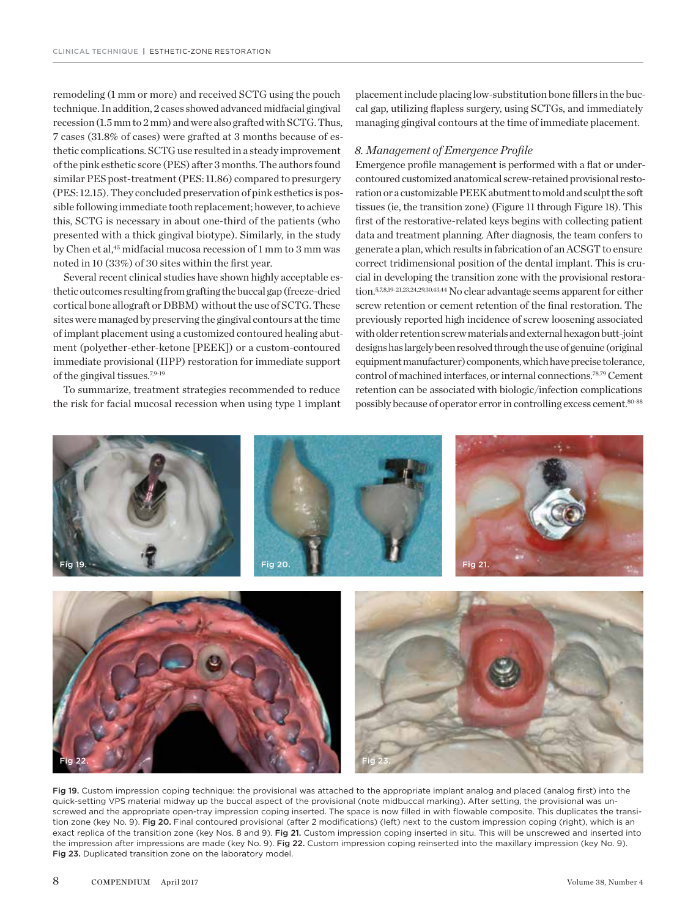remodeling (1 mm or more) and received SCTG using the pouch technique. In addition, 2 cases showed advanced midfacial gingival recession (1.5 mm to 2 mm) and were also grafted with SCTG. Thus, 7 cases (31.8% of cases) were grafted at 3 months because of esthetic complications. SCTG use resulted in a steady improvement of the pink esthetic score (PES) after 3 months. The authors found similar PES post-treatment (PES: 11.86) compared to presurgery (PES: 12.15). They concluded preservation of pink esthetics is possible following immediate tooth replacement; however, to achieve this, SCTG is necessary in about one-third of the patients (who presented with a thick gingival biotype). Similarly, in the study by Chen et al,<sup>45</sup> midfacial mucosa recession of 1 mm to 3 mm was noted in 10 (33%) of 30 sites within the first year.

Several recent clinical studies have shown highly acceptable esthetic outcomes resulting from grafting the buccal gap (freeze-dried cortical bone allograft or DBBM) without the use of SCTG. These sites were managed by preserving the gingival contours at the time of implant placement using a customized contoured healing abutment (polyether-ether-ketone [PEEK]) or a custom-contoured immediate provisional (IIPP) restoration for immediate support of the gingival tissues.7,9-19

To summarize, treatment strategies recommended to reduce the risk for facial mucosal recession when using type 1 implant placement include placing low-substitution bone fillers in the buccal gap, utilizing flapless surgery, using SCTGs, and immediately managing gingival contours at the time of immediate placement.

## *8. Management of Emergence Profile*

Emergence profile management is performed with a flat or undercontoured customized anatomical screw-retained provisional restoration or a customizable PEEK abutment to mold and sculpt the soft tissues (ie, the transition zone) (Figure 11 through Figure 18). This first of the restorative-related keys begins with collecting patient data and treatment planning. After diagnosis, the team confers to generate a plan, which results in fabrication of an ACSGT to ensure correct tridimensional position of the dental implant. This is crucial in developing the transition zone with the provisional restoration.5,7,8,19-21,23,24,29,30,43,44 No clear advantage seems apparent for either screw retention or cement retention of the final restoration. The previously reported high incidence of screw loosening associated with older retention screw materials and external hexagon butt-joint designs has largely been resolved through the use of genuine (original equipment manufacturer) components, which have precise tolerance, control of machined interfaces, or internal connections.78,79 Cement retention can be associated with biologic/infection complications possibly because of operator error in controlling excess cement.<sup>80-88</sup>



Fig 19. Custom impression coping technique: the provisional was attached to the appropriate implant analog and placed (analog first) into the quick-setting VPS material midway up the buccal aspect of the provisional (note midbuccal marking). After setting, the provisional was unscrewed and the appropriate open-tray impression coping inserted. The space is now filled in with flowable composite. This duplicates the transition zone (key No. 9). Fig 20. Final contoured provisional (after 2 modifications) (left) next to the custom impression coping (right), which is an exact replica of the transition zone (key Nos. 8 and 9). Fig 21. Custom impression coping inserted in situ. This will be unscrewed and inserted into the impression after impressions are made (key No. 9). Fig 22. Custom impression coping reinserted into the maxillary impression (key No. 9). Fig 23. Duplicated transition zone on the laboratory model.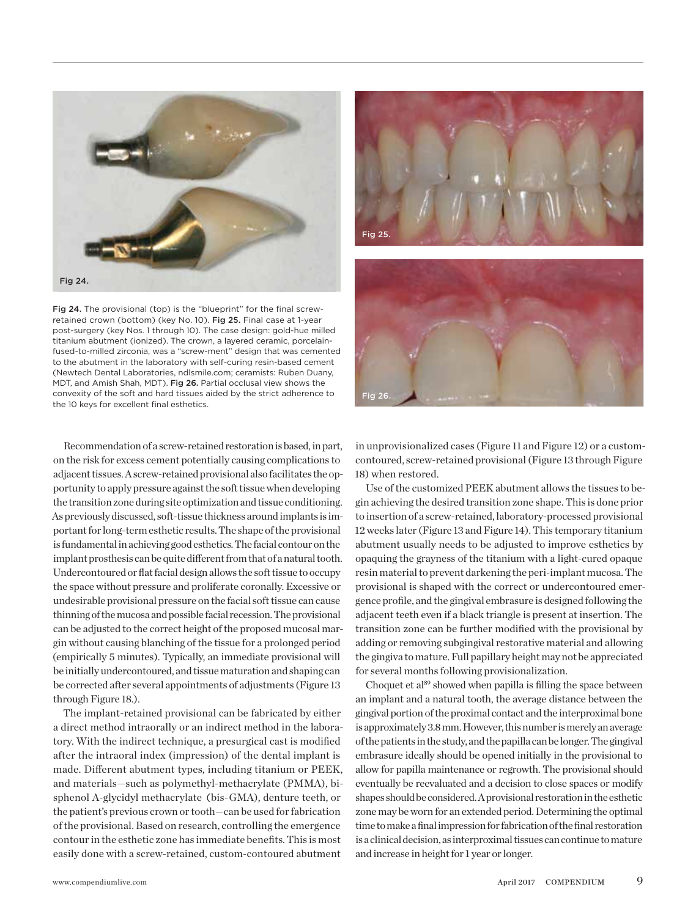

Fig 24. The provisional (top) is the "blueprint" for the final screwretained crown (bottom) (key No. 10). Fig 25. Final case at 1-year post-surgery (key Nos. 1 through 10). The case design: gold-hue milled titanium abutment (ionized). The crown, a layered ceramic, porcelainfused-to-milled zirconia, was a "screw-ment" design that was cemented to the abutment in the laboratory with self-curing resin-based cement (Newtech Dental Laboratories, ndlsmile.com; ceramists: Ruben Duany, MDT, and Amish Shah, MDT). Fig 26. Partial occlusal view shows the convexity of the soft and hard tissues aided by the strict adherence to the 10 keys for excellent final esthetics.

Recommendation of a screw-retained restoration is based, in part, on the risk for excess cement potentially causing complications to adjacent tissues. A screw-retained provisional also facilitates the opportunity to apply pressure against the soft tissue when developing the transition zone during site optimization and tissue conditioning. As previously discussed, soft-tissue thickness around implants is important for long-term esthetic results. The shape of the provisional is fundamental in achieving good esthetics. The facial contour on the implant prosthesis can be quite different from that of a natural tooth. Undercontoured or flat facial design allows the soft tissue to occupy the space without pressure and proliferate coronally. Excessive or undesirable provisional pressure on the facial soft tissue can cause thinning of the mucosa and possible facial recession. The provisional can be adjusted to the correct height of the proposed mucosal margin without causing blanching of the tissue for a prolonged period (empirically 5 minutes). Typically, an immediate provisional will be initially undercontoured, and tissue maturation and shaping can be corrected after several appointments of adjustments (Figure 13 through Figure 18.).

The implant-retained provisional can be fabricated by either a direct method intraorally or an indirect method in the laboratory. With the indirect technique, a presurgical cast is modified after the intraoral index (impression) of the dental implant is made. Different abutment types, including titanium or PEEK, and materials—such as polymethyl-methacrylate (PMMA), bisphenol A-glycidyl methacrylate (bis-GMA), denture teeth, or the patient's previous crown or tooth—can be used for fabrication of the provisional. Based on research, controlling the emergence contour in the esthetic zone has immediate benefits. This is most easily done with a screw-retained, custom-contoured abutment





in unprovisionalized cases (Figure 11 and Figure 12) or a customcontoured, screw-retained provisional (Figure 13 through Figure 18) when restored.

Use of the customized PEEK abutment allows the tissues to begin achieving the desired transition zone shape. This is done prior to insertion of a screw-retained, laboratory-processed provisional 12 weeks later (Figure 13 and Figure 14). This temporary titanium abutment usually needs to be adjusted to improve esthetics by opaquing the grayness of the titanium with a light-cured opaque resin material to prevent darkening the peri-implant mucosa. The provisional is shaped with the correct or undercontoured emergence profile, and the gingival embrasure is designed following the adjacent teeth even if a black triangle is present at insertion. The transition zone can be further modified with the provisional by adding or removing subgingival restorative material and allowing the gingiva to mature. Full papillary height may not be appreciated for several months following provisionalization.

Choquet et al<sup>89</sup> showed when papilla is filling the space between an implant and a natural tooth, the average distance between the gingival portion of the proximal contact and the interproximal bone is approximately 3.8 mm. However, this number is merely an average of the patients in the study, and the papilla can be longer. The gingival embrasure ideally should be opened initially in the provisional to allow for papilla maintenance or regrowth. The provisional should eventually be reevaluated and a decision to close spaces or modify shapes should be considered. A provisional restoration in the esthetic zone may be worn for an extended period. Determining the optimal time to make a final impression for fabrication of the final restoration is a clinical decision, as interproximal tissues can continue to mature and increase in height for 1 year or longer.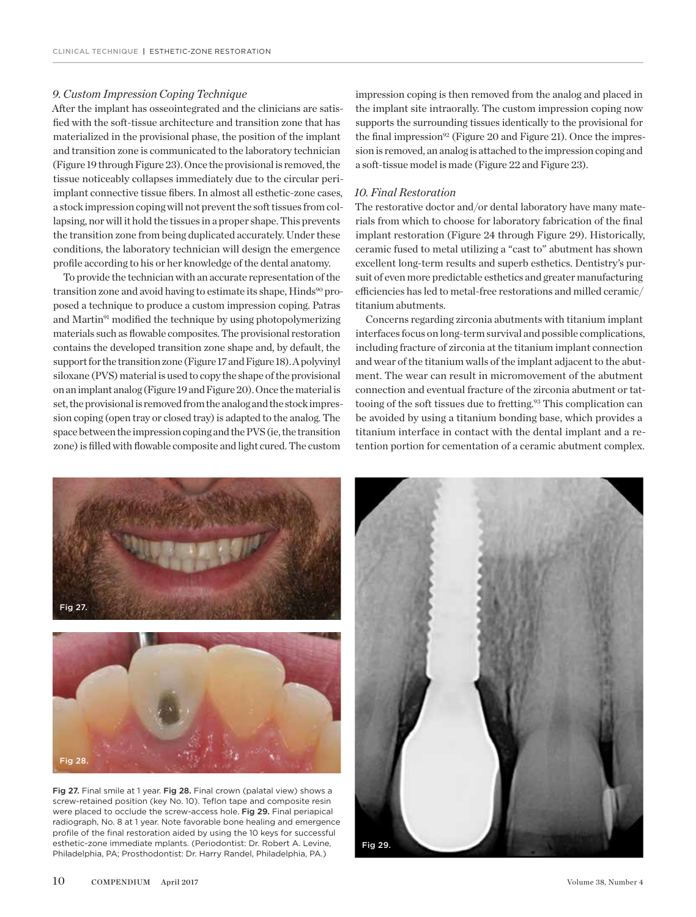## *9. Custom Impression Coping Technique*

After the implant has osseointegrated and the clinicians are satisfied with the soft-tissue architecture and transition zone that has materialized in the provisional phase, the position of the implant and transition zone is communicated to the laboratory technician (Figure 19 through Figure 23). Once the provisional is removed, the tissue noticeably collapses immediately due to the circular periimplant connective tissue fibers. In almost all esthetic-zone cases, a stock impression coping will not prevent the soft tissues from collapsing, nor will it hold the tissues in a proper shape. This prevents the transition zone from being duplicated accurately. Under these conditions, the laboratory technician will design the emergence profile according to his or her knowledge of the dental anatomy.

To provide the technician with an accurate representation of the transition zone and avoid having to estimate its shape, Hinds<sup>90</sup> proposed a technique to produce a custom impression coping. Patras and Martin<sup>91</sup> modified the technique by using photopolymerizing materials such as flowable composites. The provisional restoration contains the developed transition zone shape and, by default, the support for the transition zone (Figure 17 and Figure 18). A polyvinyl siloxane (PVS) material is used to copy the shape of the provisional on an implant analog (Figure 19 and Figure 20). Once the material is set, the provisional is removed from the analog and the stock impression coping (open tray or closed tray) is adapted to the analog. The space between the impression coping and the PVS (ie, the transition zone) is filled with flowable composite and light cured. The custom

impression coping is then removed from the analog and placed in the implant site intraorally. The custom impression coping now supports the surrounding tissues identically to the provisional for the final impression<sup>92</sup> (Figure 20 and Figure 21). Once the impression is removed, an analog is attached to the impression coping and a soft-tissue model is made (Figure 22 and Figure 23).

## *10. Final Restoration*

The restorative doctor and/or dental laboratory have many materials from which to choose for laboratory fabrication of the final implant restoration (Figure 24 through Figure 29). Historically, ceramic fused to metal utilizing a "cast to" abutment has shown excellent long-term results and superb esthetics. Dentistry's pursuit of even more predictable esthetics and greater manufacturing efficiencies has led to metal-free restorations and milled ceramic/ titanium abutments.

Concerns regarding zirconia abutments with titanium implant interfaces focus on long-term survival and possible complications, including fracture of zirconia at the titanium implant connection and wear of the titanium walls of the implant adjacent to the abutment. The wear can result in micromovement of the abutment connection and eventual fracture of the zirconia abutment or tattooing of the soft tissues due to fretting.<sup>93</sup> This complication can be avoided by using a titanium bonding base, which provides a titanium interface in contact with the dental implant and a retention portion for cementation of a ceramic abutment complex.



Fig 27. Final smile at 1 year. Fig 28. Final crown (palatal view) shows a screw-retained position (key No. 10). Teflon tape and composite resin were placed to occlude the screw-access hole. Fig 29. Final periapical radiograph, No. 8 at 1 year. Note favorable bone healing and emergence profile of the final restoration aided by using the 10 keys for successful esthetic-zone immediate mplants. (Periodontist: Dr. Robert A. Levine, Philadelphia, PA; Prosthodontist: Dr. Harry Randel, Philadelphia, PA.)

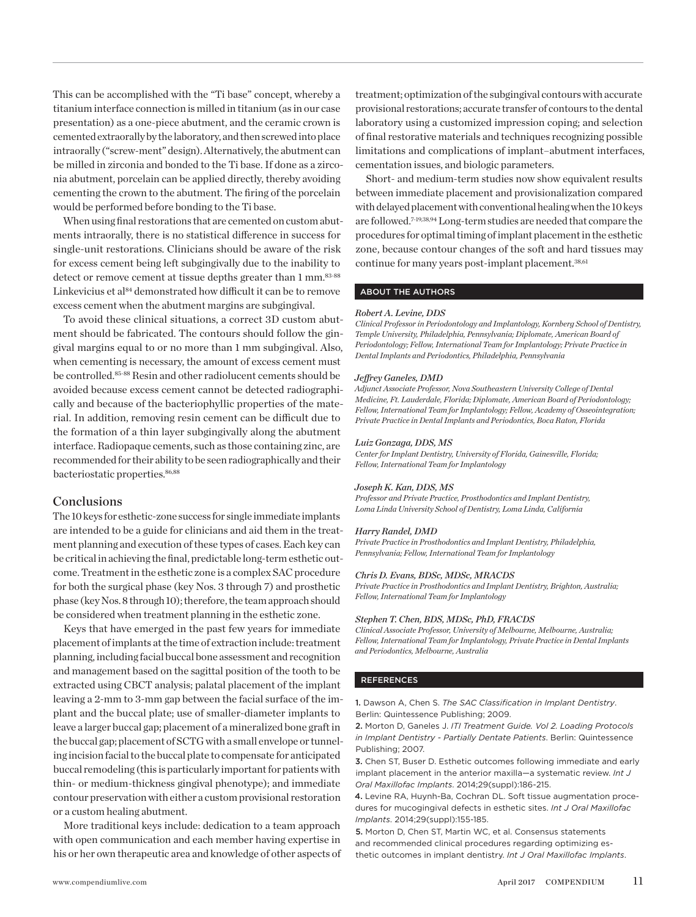This can be accomplished with the "Ti base" concept, whereby a titanium interface connection is milled in titanium (as in our case presentation) as a one-piece abutment, and the ceramic crown is cemented extraorally by the laboratory, and then screwed into place intraorally ("screw-ment" design). Alternatively, the abutment can be milled in zirconia and bonded to the Ti base. If done as a zirconia abutment, porcelain can be applied directly, thereby avoiding cementing the crown to the abutment. The firing of the porcelain would be performed before bonding to the Ti base.

When using final restorations that are cemented on custom abutments intraorally, there is no statistical difference in success for single-unit restorations. Clinicians should be aware of the risk for excess cement being left subgingivally due to the inability to detect or remove cement at tissue depths greater than 1 mm.<sup>83-88</sup> Linkevicius et al<sup>84</sup> demonstrated how difficult it can be to remove excess cement when the abutment margins are subgingival.

To avoid these clinical situations, a correct 3D custom abutment should be fabricated. The contours should follow the gingival margins equal to or no more than 1 mm subgingival. Also, when cementing is necessary, the amount of excess cement must be controlled.<sup>85-88</sup> Resin and other radiolucent cements should be avoided because excess cement cannot be detected radiographically and because of the bacteriophyllic properties of the material. In addition, removing resin cement can be difficult due to the formation of a thin layer subgingivally along the abutment interface. Radiopaque cements, such as those containing zinc, are recommended for their ability to be seen radiographically and their bacteriostatic properties.<sup>86,88</sup>

## **Conclusions**

The 10 keys for esthetic-zone success for single immediate implants are intended to be a guide for clinicians and aid them in the treatment planning and execution of these types of cases. Each key can be critical in achieving the final, predictable long-term esthetic outcome. Treatment in the esthetic zone is a complex SAC procedure for both the surgical phase (key Nos. 3 through 7) and prosthetic phase (key Nos. 8 through 10); therefore, the team approach should be considered when treatment planning in the esthetic zone.

Keys that have emerged in the past few years for immediate placement of implants at the time of extraction include: treatment planning, including facial buccal bone assessment and recognition and management based on the sagittal position of the tooth to be extracted using CBCT analysis; palatal placement of the implant leaving a 2-mm to 3-mm gap between the facial surface of the implant and the buccal plate; use of smaller-diameter implants to leave a larger buccal gap; placement of a mineralized bone graft in the buccal gap; placement of SCTG with a small envelope or tunneling incision facial to the buccal plate to compensate for anticipated buccal remodeling (this is particularly important for patients with thin- or medium-thickness gingival phenotype); and immediate contour preservation with either a custom provisional restoration or a custom healing abutment.

More traditional keys include: dedication to a team approach with open communication and each member having expertise in his or her own therapeutic area and knowledge of other aspects of treatment; optimization of the subgingival contours with accurate provisional restorations; accurate transfer of contours to the dental laboratory using a customized impression coping; and selection of final restorative materials and techniques recognizing possible limitations and complications of implant–abutment interfaces, cementation issues, and biologic parameters.

Short- and medium-term studies now show equivalent results between immediate placement and provisionalization compared with delayed placement with conventional healing when the 10 keys are followed.7-19,38,94 Long-term studies are needed that compare the procedures for optimal timing of implant placement in the esthetic zone, because contour changes of the soft and hard tissues may continue for many years post-implant placement.<sup>38,61</sup>

#### ABOUT THE AUTHORS

#### *Robert A. Levine, DDS*

*Clinical Professor in Periodontology and Implantology, Kornberg School of Dentistry, Temple University, Philadelphia, Pennsylvania; Diplomate, American Board of Periodontology; Fellow, International Team for Implantology; Private Practice in Dental Implants and Periodontics, Philadelphia, Pennsylvania* 

#### *Jeffrey Ganeles, DMD*

*Adjunct Associate Professor, Nova Southeastern University College of Dental Medicine, Ft. Lauderdale, Florida; Diplomate, American Board of Periodontology; Fellow, International Team for Implantology; Fellow, Academy of Osseointegration; Private Practice in Dental Implants and Periodontics, Boca Raton, Florida*

#### *Luiz Gonzaga, DDS, MS*

*Center for Implant Dentistry, University of Florida, Gainesville, Florida; Fellow, International Team for Implantology*

#### *Joseph K. Kan, DDS, MS*

*Professor and Private Practice, Prosthodontics and Implant Dentistry, Loma Linda University School of Dentistry, Loma Linda, California*

#### *Harry Randel, DMD*

*Private Practice in Prosthodontics and Implant Dentistry, Philadelphia, Pennsylvania; Fellow, International Team for Implantology*

#### *Chris D. Evans, BDSc, MDSc, MRACDS*

*Private Practice in Prosthodontics and Implant Dentistry, Brighton, Australia; Fellow, International Team for Implantology*

#### *Stephen T. Chen, BDS, MDSc, PhD, FRACDS*

*Clinical Associate Professor, University of Melbourne, Melbourne, Australia; Fellow, International Team for Implantology, Private Practice in Dental Implants and Periodontics, Melbourne, Australia*

#### REFERENCES

1. Dawson A, Chen S. *The SAC Classification in Implant Dentistry*. Berlin: Quintessence Publishing; 2009.

2. Morton D, Ganeles J. *ITI Treatment Guide. Vol 2. Loading Protocols in Implant Dentistry - Partially Dentate Patients*. Berlin: Quintessence Publishing; 2007.

3. Chen ST, Buser D. Esthetic outcomes following immediate and early implant placement in the anterior maxilla—a systematic review. *Int J Oral Maxillofac Implants*. 2014;29(suppl):186-215.

4. Levine RA, Huynh-Ba, Cochran DL. Soft tissue augmentation procedures for mucogingival defects in esthetic sites. *Int J Oral Maxillofac Implants*. 2014;29(suppl):155-185.

5. Morton D, Chen ST, Martin WC, et al. Consensus statements and recommended clinical procedures regarding optimizing esthetic outcomes in implant dentistry. *Int J Oral Maxillofac Implants*.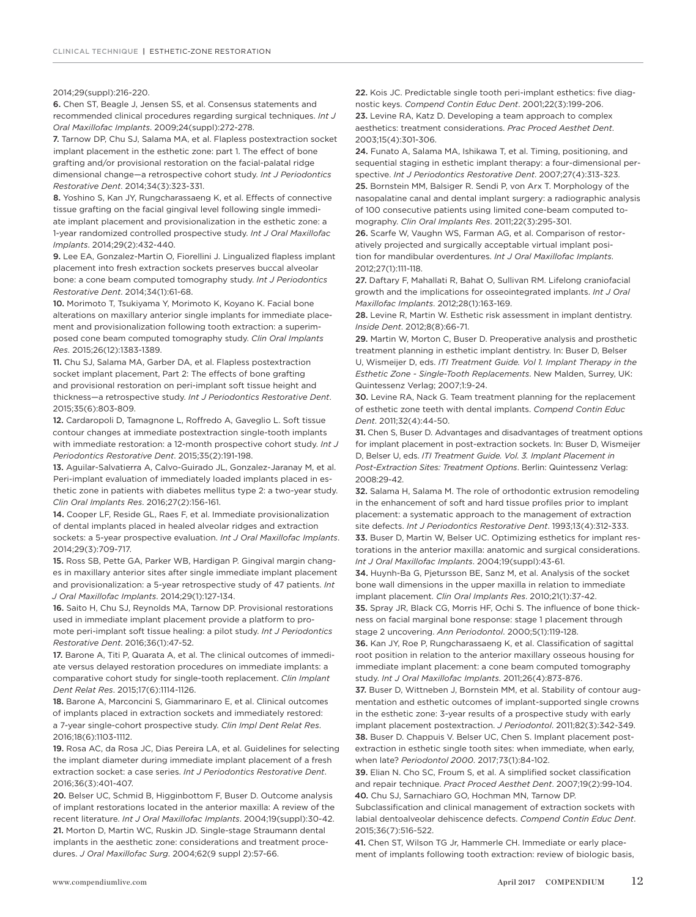#### 2014;29(suppl):216-220.

6. Chen ST, Beagle J, Jensen SS, et al. Consensus statements and recommended clinical procedures regarding surgical techniques. *Int J Oral Maxillofac Implants*. 2009;24(suppl):272-278.

7. Tarnow DP, Chu SJ, Salama MA, et al. Flapless postextraction socket implant placement in the esthetic zone: part 1. The effect of bone grafting and/or provisional restoration on the facial-palatal ridge dimensional change—a retrospective cohort study. *Int J Periodontics Restorative Dent*. 2014;34(3):323-331.

8. Yoshino S, Kan JY, Rungcharassaeng K, et al. Effects of connective tissue grafting on the facial gingival level following single immediate implant placement and provisionalization in the esthetic zone: a 1-year randomized controlled prospective study. *Int J Oral Maxillofac Implants*. 2014;29(2):432-440.

9. Lee EA, Gonzalez-Martin O, Fiorellini J. Lingualized flapless implant placement into fresh extraction sockets preserves buccal alveolar bone: a cone beam computed tomography study. *Int J Periodontics Restorative Dent*. 2014;34(1):61-68.

10. Morimoto T, Tsukiyama Y, Morimoto K, Koyano K. Facial bone alterations on maxillary anterior single implants for immediate placement and provisionalization following tooth extraction: a superimposed cone beam computed tomography study. *Clin Oral Implants Res*. 2015;26(12):1383-1389.

11. Chu SJ, Salama MA, Garber DA, et al. Flapless postextraction socket implant placement, Part 2: The effects of bone grafting and provisional restoration on peri-implant soft tissue height and thickness—a retrospective study. *Int J Periodontics Restorative Dent*. 2015;35(6):803-809.

12. Cardaropoli D, Tamagnone L, Roffredo A, Gaveglio L. Soft tissue contour changes at immediate postextraction single-tooth implants with immediate restoration: a 12-month prospective cohort study. *Int J Periodontics Restorative Dent*. 2015;35(2):191-198.

13. Aguilar-Salvatierra A, Calvo-Guirado JL, Gonzalez-Jaranay M, et al. Peri-implant evaluation of immediately loaded implants placed in esthetic zone in patients with diabetes mellitus type 2: a two-year study. *Clin Oral Implants Res*. 2016;27(2):156-161.

14. Cooper LF, Reside GL, Raes F, et al. Immediate provisionalization of dental implants placed in healed alveolar ridges and extraction sockets: a 5-year prospective evaluation. *Int J Oral Maxillofac Implants*. 2014;29(3):709-717.

15. Ross SB, Pette GA, Parker WB, Hardigan P. Gingival margin changes in maxillary anterior sites after single immediate implant placement and provisionalization: a 5-year retrospective study of 47 patients. *Int J Oral Maxillofac Implants*. 2014;29(1):127-134.

16. Saito H, Chu SJ, Reynolds MA, Tarnow DP. Provisional restorations used in immediate implant placement provide a platform to promote peri-implant soft tissue healing: a pilot study. *Int J Periodontics Restorative Dent*. 2016;36(1):47-52.

17. Barone A, Titi P, Quarata A, et al. The clinical outcomes of immediate versus delayed restoration procedures on immediate implants: a comparative cohort study for single-tooth replacement. *Clin Implant Dent Relat Res*. 2015;17(6):1114-1126.

18. Barone A, Marconcini S, Giammarinaro E, et al. Clinical outcomes of implants placed in extraction sockets and immediately restored: a 7-year single-cohort prospective study. *Clin Impl Dent Relat Res*. 2016;18(6):1103-1112.

19. Rosa AC, da Rosa JC, Dias Pereira LA, et al. Guidelines for selecting the implant diameter during immediate implant placement of a fresh extraction socket: a case series. *Int J Periodontics Restorative Dent*. 2016;36(3):401-407.

20. Belser UC, Schmid B, Higginbottom F, Buser D. Outcome analysis of implant restorations located in the anterior maxilla: A review of the recent literature. *Int J Oral Maxillofac Implants*. 2004;19(suppl):30-42. 21. Morton D, Martin WC, Ruskin JD. Single-stage Straumann dental implants in the aesthetic zone: considerations and treatment procedures. *J Oral Maxillofac Surg*. 2004;62(9 suppl 2):57-66.

22. Kois JC. Predictable single tooth peri-implant esthetics: five diagnostic keys. *Compend Contin Educ Dent*. 2001;22(3):199-206. 23. Levine RA, Katz D. Developing a team approach to complex aesthetics: treatment considerations. *Prac Proced Aesthet Dent*. 2003;15(4):301-306.

24. Funato A, Salama MA, Ishikawa T, et al. Timing, positioning, and sequential staging in esthetic implant therapy: a four-dimensional perspective. *Int J Periodontics Restorative Dent*. 2007;27(4):313-323. 25. Bornstein MM, Balsiger R. Sendi P, von Arx T. Morphology of the nasopalatine canal and dental implant surgery: a radiographic analysis of 100 consecutive patients using limited cone-beam computed tomography. *Clin Oral Implants Res*. 2011;22(3):295-301.

26. Scarfe W, Vaughn WS, Farman AG, et al. Comparison of restoratively projected and surgically acceptable virtual implant position for mandibular overdentures. *Int J Oral Maxillofac Implants*. 2012;27(1):111-118.

27. Daftary F, Mahallati R, Bahat O, Sullivan RM. Lifelong craniofacial growth and the implications for osseointegrated implants. *Int J Oral Maxillofac Implants*. 2012;28(1):163-169.

28. Levine R, Martin W. Esthetic risk assessment in implant dentistry. *Inside Dent*. 2012;8(8):66-71.

29. Martin W, Morton C, Buser D. Preoperative analysis and prosthetic treatment planning in esthetic implant dentistry. In: Buser D, Belser U, Wismeijer D, eds. *ITI Treatment Guide. Vol 1. Implant Therapy in the Esthetic Zone - Single-Tooth Replacements*. New Malden, Surrey, UK: Quintessenz Verlag; 2007;1:9-24.

30. Levine RA, Nack G. Team treatment planning for the replacement of esthetic zone teeth with dental implants. *Compend Contin Educ Dent*. 2011;32(4):44-50.

31. Chen S, Buser D. Advantages and disadvantages of treatment options for implant placement in post-extraction sockets. In: Buser D, Wismeijer D, Belser U, eds. *ITI Treatment Guide. Vol. 3. Implant Placement in Post-Extraction Sites: Treatment Options*. Berlin: Quintessenz Verlag: 2008:29-42.

32. Salama H, Salama M. The role of orthodontic extrusion remodeling in the enhancement of soft and hard tissue profiles prior to implant placement: a systematic approach to the management of extraction site defects. *Int J Periodontics Restorative Dent*. 1993;13(4):312-333. 33. Buser D, Martin W, Belser UC. Optimizing esthetics for implant restorations in the anterior maxilla: anatomic and surgical considerations.

*Int J Oral Maxillofac Implants*. 2004;19(suppl):43-61.

34. Huynh-Ba G, Pjetursson BE, Sanz M, et al. Analysis of the socket bone wall dimensions in the upper maxilla in relation to immediate implant placement. *Clin Oral Implants Res*. 2010;21(1):37-42.

35. Spray JR, Black CG, Morris HF, Ochi S. The influence of bone thickness on facial marginal bone response: stage 1 placement through stage 2 uncovering. *Ann Periodontol*. 2000;5(1):119-128.

36. Kan JY, Roe P, Rungcharassaeng K, et al. Classification of sagittal root position in relation to the anterior maxillary osseous housing for immediate implant placement: a cone beam computed tomography study. *Int J Oral Maxillofac Implants*. 2011;26(4):873-876.

37. Buser D, Wittneben J, Bornstein MM, et al. Stability of contour augmentation and esthetic outcomes of implant-supported single crowns in the esthetic zone: 3-year results of a prospective study with early implant placement postextraction. *J Periodontol*. 2011;82(3):342-349. 38. Buser D. Chappuis V. Belser UC, Chen S. Implant placement postextraction in esthetic single tooth sites: when immediate, when early, when late? *Periodontol 2000*. 2017;73(1):84-102.

39. Elian N. Cho SC, Froum S, et al. A simplified socket classification and repair technique. *Pract Proced Aesthet Dent*. 2007;19(2):99-104. 40. Chu SJ, Sarnachiaro GO, Hochman MN, Tarnow DP.

Subclassification and clinical management of extraction sockets with labial dentoalveolar dehiscence defects. *Compend Contin Educ Dent*. 2015;36(7):516-522.

41. Chen ST, Wilson TG Jr, Hammerle CH. Immediate or early placement of implants following tooth extraction: review of biologic basis,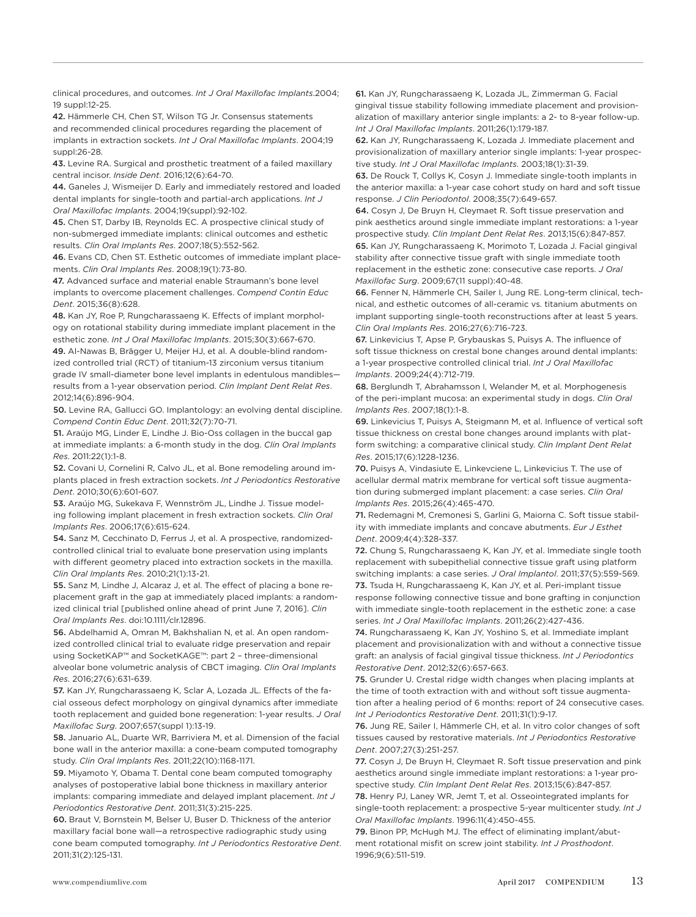clinical procedures, and outcomes. *Int J Oral Maxillofac Implants*.2004; 19 suppl:12-25.

42. Hämmerle CH, Chen ST, Wilson TG Jr. Consensus statements and recommended clinical procedures regarding the placement of implants in extraction sockets. *Int J Oral Maxillofac Implants*. 2004;19 suppl:26-28.

43. Levine RA. Surgical and prosthetic treatment of a failed maxillary central incisor. *Inside Dent*. 2016;12(6):64-70.

44. Ganeles J, Wismeijer D. Early and immediately restored and loaded dental implants for single-tooth and partial-arch applications. *Int J Oral Maxillofac Implants*. 2004;19(suppl):92-102.

45. Chen ST, Darby IB, Reynolds EC. A prospective clinical study of non-submerged immediate implants: clinical outcomes and esthetic results. *Clin Oral Implants Res*. 2007;18(5):552-562.

46. Evans CD, Chen ST. Esthetic outcomes of immediate implant placements. *Clin Oral Implants Res*. 2008;19(1):73-80.

47. Advanced surface and material enable Straumann's bone level implants to overcome placement challenges. *Compend Contin Educ Dent*. 2015;36(8):628.

48. Kan JY, Roe P, Rungcharassaeng K. Effects of implant morphology on rotational stability during immediate implant placement in the esthetic zone. *Int J Oral Maxillofac Implants*. 2015;30(3):667-670.

49. Al-Nawas B, Brägger U, Meijer HJ, et al. A double-blind randomized controlled trial (RCT) of titanium-13 zirconium versus titanium grade IV small-diameter bone level implants in edentulous mandibles results from a 1-year observation period. *Clin Implant Dent Relat Res*. 2012;14(6):896-904.

50. Levine RA, Gallucci GO. Implantology: an evolving dental discipline. *Compend Contin Educ Dent*. 2011;32(7):70-71.

51. Araújo MG, Linder E, Lindhe J. Bio-Oss collagen in the buccal gap at immediate implants: a 6-month study in the dog. *Clin Oral Implants Res*. 2011:22(1):1-8.

52. Covani U, Cornelini R, Calvo JL, et al. Bone remodeling around implants placed in fresh extraction sockets. *Int J Periodontics Restorative Dent*. 2010;30(6):601-607.

53. Araújo MG, Sukekava F, Wennström JL, Lindhe J. Tissue modeling following implant placement in fresh extraction sockets. *Clin Oral Implants Res*. 2006;17(6):615-624.

54. Sanz M, Cecchinato D, Ferrus J, et al. A prospective, randomizedcontrolled clinical trial to evaluate bone preservation using implants with different geometry placed into extraction sockets in the maxilla. *Clin Oral Implants Res*. 2010;21(1):13-21.

55. Sanz M, Lindhe J, Alcaraz J, et al. The effect of placing a bone replacement graft in the gap at immediately placed implants: a randomized clinical trial [published online ahead of print June 7, 2016]. *Clin Oral Implants Res*. doi:10.1111/clr.12896.

56. Abdelhamid A, Omran M, Bakhshalian N, et al. An open randomized controlled clinical trial to evaluate ridge preservation and repair using SocketKAP™ and SocketKAGE™: part 2 – three-dimensional alveolar bone volumetric analysis of CBCT imaging. *Clin Oral Implants Res*. 2016;27(6):631-639.

57. Kan JY, Rungcharassaeng K, Sclar A, Lozada JL. Effects of the facial osseous defect morphology on gingival dynamics after immediate tooth replacement and guided bone regeneration: 1-year results. *J Oral Maxillofac Surg*. 2007;657(suppl 1):13-19.

58. Januario AL, Duarte WR, Barriviera M, et al. Dimension of the facial bone wall in the anterior maxilla: a cone-beam computed tomography study. *Clin Oral Implants Res*. 2011;22(10):1168-1171.

59. Miyamoto Y, Obama T. Dental cone beam computed tomography analyses of postoperative labial bone thickness in maxillary anterior implants: comparing immediate and delayed implant placement. *Int J Periodontics Restorative Dent*. 2011;31(3):215-225.

60. Braut V, Bornstein M, Belser U, Buser D. Thickness of the anterior maxillary facial bone wall—a retrospective radiographic study using cone beam computed tomography. *Int J Periodontics Restorative Dent*. 2011;31(2):125-131.

61. Kan JY, Rungcharassaeng K, Lozada JL, Zimmerman G. Facial gingival tissue stability following immediate placement and provisionalization of maxillary anterior single implants: a 2- to 8-year follow-up. *Int J Oral Maxillofac Implants*. 2011;26(1):179-187.

62. Kan JY, Rungcharassaeng K, Lozada J. Immediate placement and provisionalization of maxillary anterior single implants: 1-year prospective study. *Int J Oral Maxillofac Implants*. 2003;18(1):31-39.

63. De Rouck T, Collys K, Cosyn J. Immediate single-tooth implants in the anterior maxilla: a 1-year case cohort study on hard and soft tissue response. *J Clin Periodontol*. 2008;35(7):649-657.

64. Cosyn J, De Bruyn H, Cleymaet R. Soft tissue preservation and pink aesthetics around single immediate implant restorations: a 1-year prospective study. *Clin Implant Dent Relat Res*. 2013;15(6):847-857. 65. Kan JY, Rungcharassaeng K, Morimoto T, Lozada J. Facial gingival stability after connective tissue graft with single immediate tooth replacement in the esthetic zone: consecutive case reports. *J Oral Maxillofac Surg*. 2009;67(11 suppl):40-48.

66. Fenner N, Hämmerle CH, Sailer I, Jung RE. Long-term clinical, technical, and esthetic outcomes of all-ceramic vs. titanium abutments on implant supporting single-tooth reconstructions after at least 5 years. *Clin Oral Implants Res*. 2016;27(6):716-723.

67. Linkevicius T, Apse P, Grybauskas S, Puisys A. The influence of soft tissue thickness on crestal bone changes around dental implants: a 1-year prospective controlled clinical trial. *Int J Oral Maxillofac Implants*. 2009;24(4):712-719.

68. Berglundh T, Abrahamsson I, Welander M, et al. Morphogenesis of the peri-implant mucosa: an experimental study in dogs. *Clin Oral Implants Res*. 2007;18(1):1-8.

69. Linkevicius T, Puisys A, Steigmann M, et al. Influence of vertical soft tissue thickness on crestal bone changes around implants with platform switching: a comparative clinical study. *Clin Implant Dent Relat Res*. 2015;17(6):1228-1236.

70. Puisys A, Vindasiute E, Linkevciene L, Linkevicius T. The use of acellular dermal matrix membrane for vertical soft tissue augmentation during submerged implant placement: a case series. *Clin Oral Implants Res*. 2015;26(4):465-470.

71. Redemagni M, Cremonesi S, Garlini G, Maiorna C. Soft tissue stability with immediate implants and concave abutments. *Eur J Esthet Dent*. 2009;4(4):328-337.

72. Chung S, Rungcharassaeng K, Kan JY, et al. Immediate single tooth replacement with subepithelial connective tissue graft using platform switching implants: a case series. *J Oral Implantol*. 2011;37(5):559-569. 73. Tsuda H, Rungcharassaeng K, Kan JY, et al. Peri-implant tissue response following connective tissue and bone grafting in conjunction

with immediate single-tooth replacement in the esthetic zone: a case series. *Int J Oral Maxillofac Implants*. 2011;26(2):427-436.

74. Rungcharassaeng K, Kan JY, Yoshino S, et al. Immediate implant placement and provisionalization with and without a connective tissue graft: an analysis of facial gingival tissue thickness. *Int J Periodontics Restorative Dent*. 2012;32(6):657-663.

75. Grunder U. Crestal ridge width changes when placing implants at the time of tooth extraction with and without soft tissue augmentation after a healing period of 6 months: report of 24 consecutive cases. *Int J Periodontics Restorative Dent*. 2011;31(1):9-17.

76. Jung RE, Sailer I, Hämmerle CH, et al. In vitro color changes of soft tissues caused by restorative materials. *Int J Periodontics Restorative Dent*. 2007;27(3):251-257.

77. Cosyn J, De Bruyn H, Cleymaet R. Soft tissue preservation and pink aesthetics around single immediate implant restorations: a 1-year prospective study. *Clin Implant Dent Relat Res*. 2013;15(6):847-857. 78. Henry PJ, Laney WR, Jemt T, et al. Osseointegrated implants for

single-tooth replacement: a prospective 5-year multicenter study. *Int J Oral Maxillofac Implants*. 1996:11(4):450-455.

79. Binon PP, McHugh MJ. The effect of eliminating implant/abutment rotational misfit on screw joint stability. *Int J Prosthodont*. 1996;9(6):511-519.